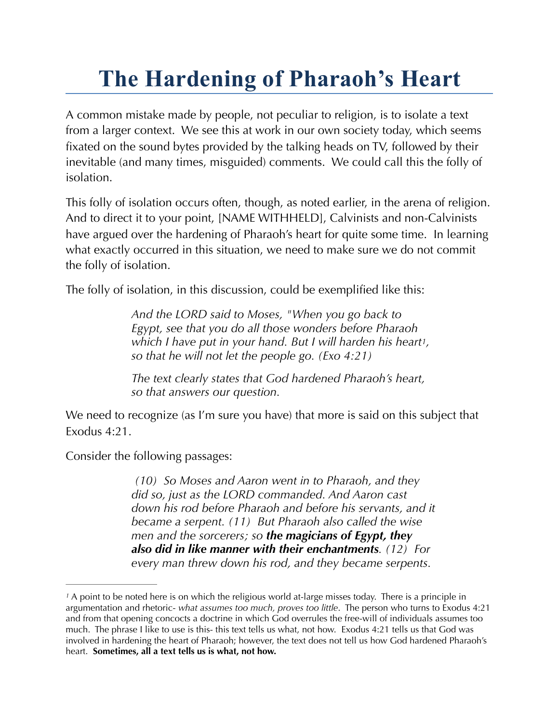## **The Hardening of Pharaoh's Heart**

A common mistake made by people, not peculiar to religion, is to isolate a text from a larger context. We see this at work in our own society today, which seems fixated on the sound bytes provided by the talking heads on TV, followed by their inevitable (and many times, misguided) comments. We could call this the folly of isolation.

This folly of isolation occurs often, though, as noted earlier, in the arena of religion. And to direct it to your point, [NAME WITHHELD], Calvinists and non-Calvinists have argued over the hardening of Pharaoh's heart for quite some time. In learning what exactly occurred in this situation, we need to make sure we do not commit the folly of isolation.

The folly of isolation, in this discussion, could be exemplified like this:

<span id="page-0-1"></span>*And the LORD said to Moses, "When you go back to Egypt, see that you do all those wonders before Pharaoh which I have put in your hand. But I will harden his hear[t1,](#page-0-0) so that he will not let the people go. (Exo 4:21)* 

*The text clearly states that God hardened Pharaoh's heart, so that answers our question.* 

We need to recognize (as I'm sure you have) that more is said on this subject that Exodus 4:21.

Consider the following passages:

 *(10) So Moses and Aaron went in to Pharaoh, and they did so, just as the LORD commanded. And Aaron cast down his rod before Pharaoh and before his servants, and it became a serpent. (11) But Pharaoh also called the wise men and the sorcerers; so the magicians of Egypt, they also did in like manner with their enchantments. (12) For every man threw down his rod, and they became serpents.* 

<span id="page-0-0"></span>A point to be noted here is on which the religious world at-large misses today. There is a principle in *[1](#page-0-1)* argumentation and rhetoric- *what assumes too much, proves too little*. The person who turns to Exodus 4:21 and from that opening concocts a doctrine in which God overrules the free-will of individuals assumes too much. The phrase I like to use is this- this text tells us what, not how. Exodus 4:21 tells us that God was involved in hardening the heart of Pharaoh; however, the text does not tell us how God hardened Pharaoh's heart. **Sometimes, all a text tells us is what, not how.**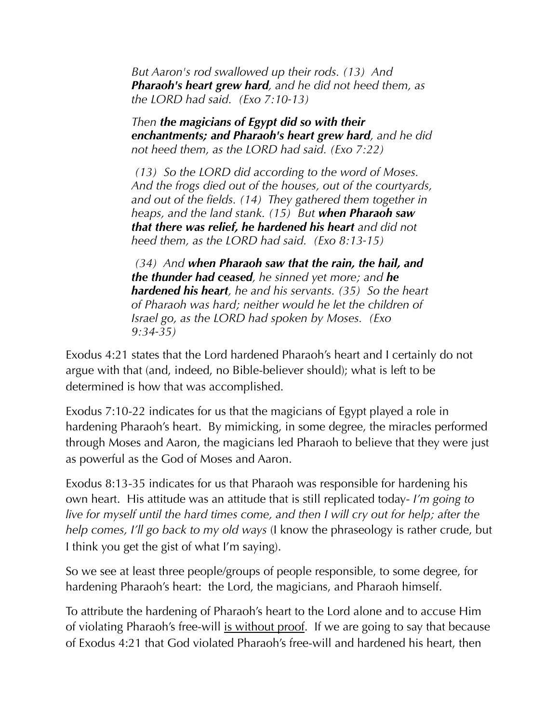*But Aaron's rod swallowed up their rods. (13) And Pharaoh's heart grew hard, and he did not heed them, as the LORD had said. (Exo 7:10-13)* 

*Then the magicians of Egypt did so with their enchantments; and Pharaoh's heart grew hard, and he did not heed them, as the LORD had said. (Exo 7:22)* 

 *(13) So the LORD did according to the word of Moses. And the frogs died out of the houses, out of the courtyards, and out of the fields. (14) They gathered them together in heaps, and the land stank. (15) But when Pharaoh saw that there was relief, he hardened his heart and did not heed them, as the LORD had said. (Exo 8:13-15)* 

 *(34) And when Pharaoh saw that the rain, the hail, and the thunder had ceased, he sinned yet more; and he hardened his heart, he and his servants. (35) So the heart of Pharaoh was hard; neither would he let the children of Israel go, as the LORD had spoken by Moses. (Exo 9:34-35)* 

Exodus 4:21 states that the Lord hardened Pharaoh's heart and I certainly do not argue with that (and, indeed, no Bible-believer should); what is left to be determined is how that was accomplished.

Exodus 7:10-22 indicates for us that the magicians of Egypt played a role in hardening Pharaoh's heart. By mimicking, in some degree, the miracles performed through Moses and Aaron, the magicians led Pharaoh to believe that they were just as powerful as the God of Moses and Aaron.

Exodus 8:13-35 indicates for us that Pharaoh was responsible for hardening his own heart. His attitude was an attitude that is still replicated today- *I'm going to live for myself until the hard times come, and then I will cry out for help; after the help comes, I'll go back to my old ways* (I know the phraseology is rather crude, but I think you get the gist of what I'm saying).

So we see at least three people/groups of people responsible, to some degree, for hardening Pharaoh's heart: the Lord, the magicians, and Pharaoh himself.

To attribute the hardening of Pharaoh's heart to the Lord alone and to accuse Him of violating Pharaoh's free-will is without proof. If we are going to say that because of Exodus 4:21 that God violated Pharaoh's free-will and hardened his heart, then